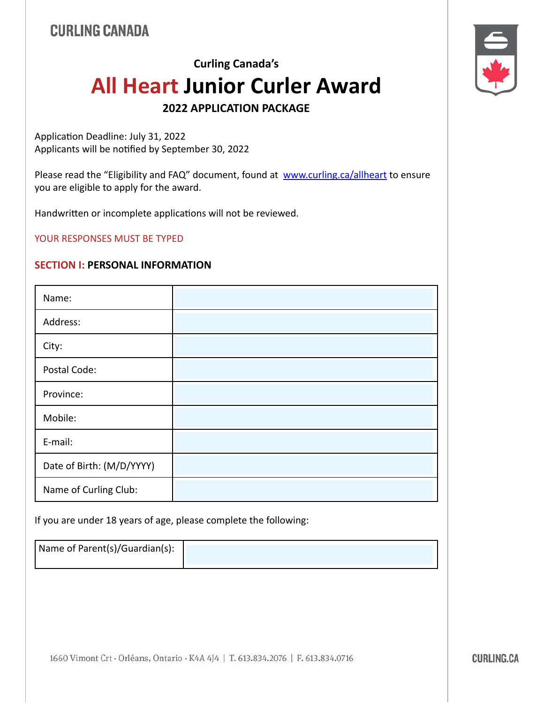# **Curling Canada's All Heart Junior Curler Award**

**2022 APPLICATION PACKAGE** 

Application Deadline: July 31, 2022 Applicants will be notified by September 30, 2022

Please read the "Eligibility and FAQ" document, found at [www.curling.ca/allheart](https://www.curling.ca/allheart) to ensure you are eligible to apply for the award.

Handwritten or incomplete applications will not be reviewed.

YOUR RESPONSES MUST BE TYPED

#### **SECTION I: PERSONAL INFORMATION**

| Name:                     |  |
|---------------------------|--|
| Address:                  |  |
| City:                     |  |
| Postal Code:              |  |
| Province:                 |  |
| Mobile:                   |  |
| E-mail:                   |  |
| Date of Birth: (M/D/YYYY) |  |
| Name of Curling Club:     |  |

If you are under 18 years of age, please complete the following:

Name of Parent(s)/Guardian(s):





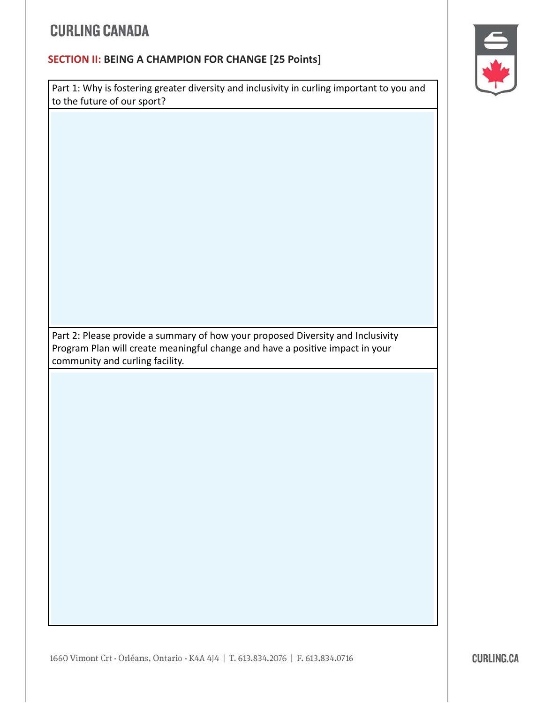### **SECTION II: BEING A CHAMPION FOR CHANGE [25 Points]**

Part 1: Why is fostering greater diversity and inclusivity in curling important to you and to the future of our sport?



Part 2: Please provide a summary of how your proposed Diversity and Inclusivity Program Plan will create meaningful change and have a positive impact in your community and curling facility.

1660 Vimont Crt · Orléans, Ontario · K4A 4J4 | T. 613.834.2076 | F. 613.834.0716

**CURLING.CA**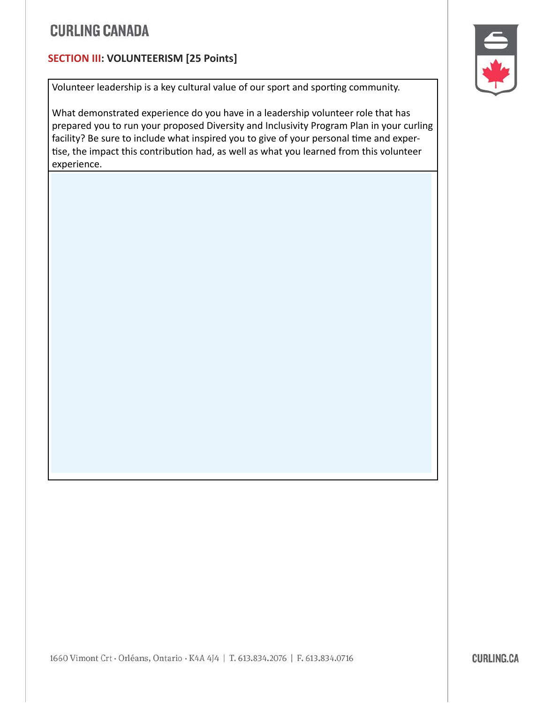### **SECTION III: VOLUNTEERISM [25 Points]**

Volunteer leadership is a key cultural value of our sport and sporting community.

What demonstrated experience do you have in a leadership volunteer role that has prepared you to run your proposed Diversity and Inclusivity Program Plan in your curling facility? Be sure to include what inspired you to give of your personal time and expertise, the impact this contribution had, as well as what you learned from this volunteer experience.

1660 Vimont Crt · Orléans, Ontario · K4A 4J4 | T. 613.834.2076 | F. 613.834.0716

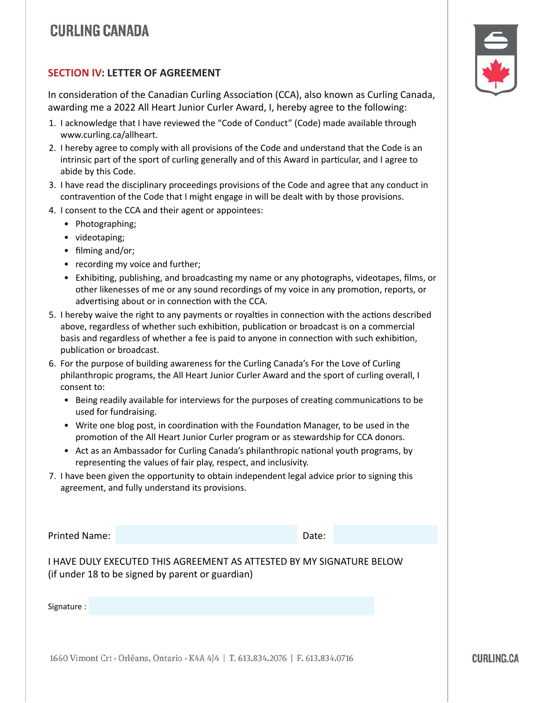#### **SECTION IV: LETTER OF AGREEMENT**

In consideration of the Canadian Curling Association (CCA), also known as Curling Canada, awarding me a 2022 All Heart Junior Curler Award, I, hereby agree to the following:

- 1. I acknowledge that I have reviewed the "Code of Conduct" (Code) made available through www.curling.ca/allheart.
- 2. I hereby agree to comply with all provisions of the Code and understand that the Code is an intrinsic part of the sport of curling generally and of this Award in particular, and I agree to abide by this Code.
- 3. I have read the disciplinary proceedings provisions of the Code and agree that any conduct in contravention of the Code that I might engage in will be dealt with by those provisions.
- 4. I consent to the CCA and their agent or appointees:
	- Photographing;
	- videotaping;
	- filming and/or;
	- recording my voice and further;
	- Exhibiting, publishing, and broadcasting my name or any photographs, videotapes, films, or other likenesses of me or any sound recordings of my voice in any promotion, reports, or advertising about or in connection with the CCA.
- 5. I hereby waive the right to any payments or royalties in connection with the actions described above, regardless of whether such exhibition, publication or broadcast is on a commercial basis and regardless of whether a fee is paid to anyone in connection with such exhibition, publication or broadcast.
- 6. For the purpose of building awareness for the Curling Canada's For the Love of Curling philanthropic programs, the All Heart Junior Curler Award and the sport of curling overall, I consent to:
	- Being readily available for interviews for the purposes of creating communications to be used for fundraising.
	- Write one blog post, in coordination with the Foundation Manager, to be used in the promotion of the All Heart Junior Curler program or as stewardship for CCA donors.
	- Act as an Ambassador for Curling Canada's philanthropic national youth programs, by representing the values of fair play, respect, and inclusivity.
- 7. I have been given the opportunity to obtain independent legal advice prior to signing this agreement, and fully understand its provisions.

Printed Name: Date:

I HAVE DULY EXECUTED THIS AGREEMENT AS ATTESTED BY MY SIGNATURE BELOW (if under 18 to be signed by parent or guardian)

Signature :

1660 Vimont Crt · Orléans, Ontario · K4A 4J4 | T. 613.834.2076 | F. 613.834.0716



**CURLING.CA**